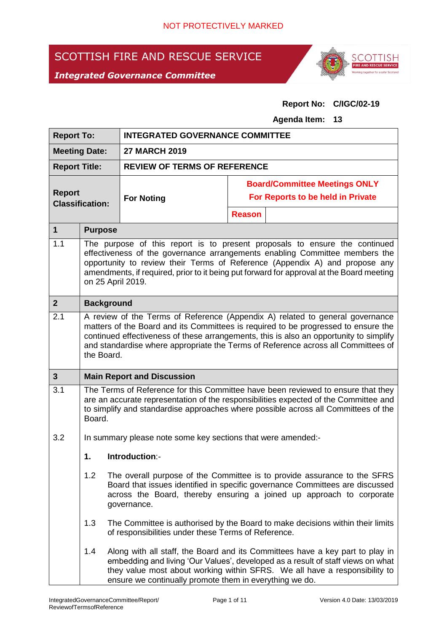### SCOTTISH FIRE AND RESCUE SERVICE

### *Integrated Governance Committee*



#### **Report No: C/IGC/02-19**

**Agenda Item: 13**

| <b>Report To:</b>                       |                                                                                                                                                                                                                                                                                                                                                                  | <b>INTEGRATED GOVERNANCE COMMITTEE</b>                       |                                      |                                                                                                                                                                                                                                                |  |  |
|-----------------------------------------|------------------------------------------------------------------------------------------------------------------------------------------------------------------------------------------------------------------------------------------------------------------------------------------------------------------------------------------------------------------|--------------------------------------------------------------|--------------------------------------|------------------------------------------------------------------------------------------------------------------------------------------------------------------------------------------------------------------------------------------------|--|--|
| <b>Meeting Date:</b>                    |                                                                                                                                                                                                                                                                                                                                                                  | <b>27 MARCH 2019</b>                                         |                                      |                                                                                                                                                                                                                                                |  |  |
| <b>Report Title:</b>                    |                                                                                                                                                                                                                                                                                                                                                                  | <b>REVIEW OF TERMS OF REFERENCE</b>                          |                                      |                                                                                                                                                                                                                                                |  |  |
| <b>Report</b><br><b>Classification:</b> |                                                                                                                                                                                                                                                                                                                                                                  |                                                              | <b>Board/Committee Meetings ONLY</b> |                                                                                                                                                                                                                                                |  |  |
|                                         |                                                                                                                                                                                                                                                                                                                                                                  | <b>For Noting</b>                                            | For Reports to be held in Private    |                                                                                                                                                                                                                                                |  |  |
|                                         |                                                                                                                                                                                                                                                                                                                                                                  |                                                              | <b>Reason</b>                        |                                                                                                                                                                                                                                                |  |  |
| $\mathbf{1}$                            | <b>Purpose</b>                                                                                                                                                                                                                                                                                                                                                   |                                                              |                                      |                                                                                                                                                                                                                                                |  |  |
| 1.1                                     | The purpose of this report is to present proposals to ensure the continued<br>effectiveness of the governance arrangements enabling Committee members the<br>opportunity to review their Terms of Reference (Appendix A) and propose any<br>amendments, if required, prior to it being put forward for approval at the Board meeting<br>on 25 April 2019.        |                                                              |                                      |                                                                                                                                                                                                                                                |  |  |
| $\mathbf{2}$                            | <b>Background</b>                                                                                                                                                                                                                                                                                                                                                |                                                              |                                      |                                                                                                                                                                                                                                                |  |  |
| 2.1                                     | A review of the Terms of Reference (Appendix A) related to general governance<br>matters of the Board and its Committees is required to be progressed to ensure the<br>continued effectiveness of these arrangements, this is also an opportunity to simplify<br>and standardise where appropriate the Terms of Reference across all Committees of<br>the Board. |                                                              |                                      |                                                                                                                                                                                                                                                |  |  |
| $\mathbf{3}$                            | <b>Main Report and Discussion</b>                                                                                                                                                                                                                                                                                                                                |                                                              |                                      |                                                                                                                                                                                                                                                |  |  |
| 3.1                                     | The Terms of Reference for this Committee have been reviewed to ensure that they<br>are an accurate representation of the responsibilities expected of the Committee and<br>to simplify and standardise approaches where possible across all Committees of the<br>Board.                                                                                         |                                                              |                                      |                                                                                                                                                                                                                                                |  |  |
| 3.2                                     |                                                                                                                                                                                                                                                                                                                                                                  | In summary please note some key sections that were amended:- |                                      |                                                                                                                                                                                                                                                |  |  |
|                                         | 1.                                                                                                                                                                                                                                                                                                                                                               | Introduction:-                                               |                                      |                                                                                                                                                                                                                                                |  |  |
|                                         | 1.2                                                                                                                                                                                                                                                                                                                                                              | governance.                                                  |                                      | The overall purpose of the Committee is to provide assurance to the SFRS<br>Board that issues identified in specific governance Committees are discussed<br>across the Board, thereby ensuring a joined up approach to corporate               |  |  |
|                                         | 1.3                                                                                                                                                                                                                                                                                                                                                              | of responsibilities under these Terms of Reference.          |                                      | The Committee is authorised by the Board to make decisions within their limits                                                                                                                                                                 |  |  |
|                                         | 1.4                                                                                                                                                                                                                                                                                                                                                              | ensure we continually promote them in everything we do.      |                                      | Along with all staff, the Board and its Committees have a key part to play in<br>embedding and living 'Our Values', developed as a result of staff views on what<br>they value most about working within SFRS. We all have a responsibility to |  |  |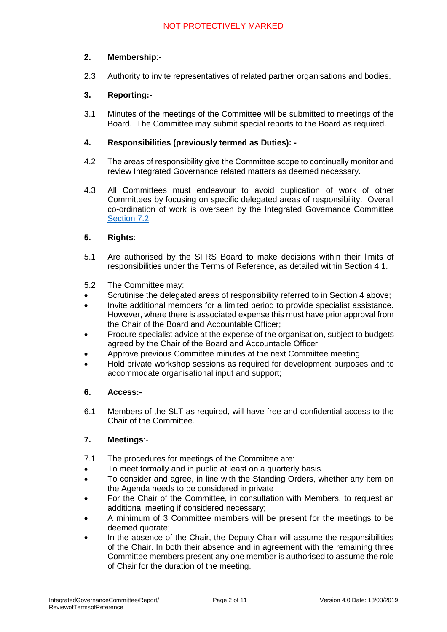#### **2. Membership**:-

2.3 Authority to invite representatives of related partner organisations and bodies.

#### **3. Reporting:-**

3.1 Minutes of the meetings of the Committee will be submitted to meetings of the Board. The Committee may submit special reports to the Board as required.

#### **4. Responsibilities (previously termed as Duties): -**

- 4.2 The areas of responsibility give the Committee scope to continually monitor and review Integrated Governance related matters as deemed necessary.
- 4.3 All Committees must endeavour to avoid duplication of work of other Committees by focusing on specific delegated areas of responsibility. Overall co-ordination of work is overseen by the Integrated Governance Committee Section 7.2.

#### **5. Rights**:-

- 5.1 Are authorised by the SFRS Board to make decisions within their limits of responsibilities under the Terms of Reference, as detailed within Section 4.1.
- 5.2 The Committee may:
- Scrutinise the delegated areas of responsibility referred to in Section 4 above;
- Invite additional members for a limited period to provide specialist assistance. However, where there is associated expense this must have prior approval from the Chair of the Board and Accountable Officer;
- Procure specialist advice at the expense of the organisation, subject to budgets agreed by the Chair of the Board and Accountable Officer;
- Approve previous Committee minutes at the next Committee meeting;
- Hold private workshop sessions as required for development purposes and to accommodate organisational input and support;

#### **6. Access:-**

6.1 Members of the SLT as required, will have free and confidential access to the Chair of the Committee.

#### **7. Meetings**:-

- 7.1 The procedures for meetings of the Committee are:
- To meet formally and in public at least on a quarterly basis.
- To consider and agree, in line with the Standing Orders, whether any item on the Agenda needs to be considered in private
- For the Chair of the Committee, in consultation with Members, to request an additional meeting if considered necessary;
- A minimum of 3 Committee members will be present for the meetings to be deemed quorate;
- In the absence of the Chair, the Deputy Chair will assume the responsibilities of the Chair. In both their absence and in agreement with the remaining three Committee members present any one member is authorised to assume the role of Chair for the duration of the meeting.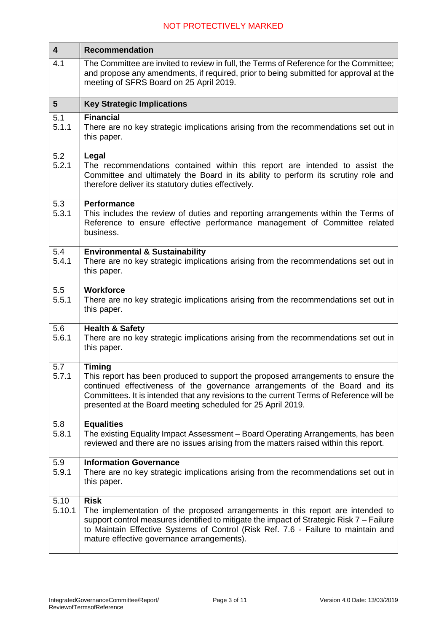| $\overline{\mathbf{4}}$ | <b>Recommendation</b>                                                                                                                                                                                                                                                                                                                      |  |  |  |
|-------------------------|--------------------------------------------------------------------------------------------------------------------------------------------------------------------------------------------------------------------------------------------------------------------------------------------------------------------------------------------|--|--|--|
| 4.1                     | The Committee are invited to review in full, the Terms of Reference for the Committee;<br>and propose any amendments, if required, prior to being submitted for approval at the<br>meeting of SFRS Board on 25 April 2019.                                                                                                                 |  |  |  |
| 5 <sup>5</sup>          | <b>Key Strategic Implications</b>                                                                                                                                                                                                                                                                                                          |  |  |  |
| 5.1<br>5.1.1            | <b>Financial</b><br>There are no key strategic implications arising from the recommendations set out in<br>this paper.                                                                                                                                                                                                                     |  |  |  |
| 5.2<br>5.2.1            | Legal<br>The recommendations contained within this report are intended to assist the<br>Committee and ultimately the Board in its ability to perform its scrutiny role and<br>therefore deliver its statutory duties effectively.                                                                                                          |  |  |  |
| 5.3<br>5.3.1            | <b>Performance</b><br>This includes the review of duties and reporting arrangements within the Terms of<br>Reference to ensure effective performance management of Committee related<br>business.                                                                                                                                          |  |  |  |
| 5.4<br>5.4.1            | <b>Environmental &amp; Sustainability</b><br>There are no key strategic implications arising from the recommendations set out in<br>this paper.                                                                                                                                                                                            |  |  |  |
| 5.5<br>5.5.1            | <b>Workforce</b><br>There are no key strategic implications arising from the recommendations set out in<br>this paper.                                                                                                                                                                                                                     |  |  |  |
| 5.6<br>5.6.1            | <b>Health &amp; Safety</b><br>There are no key strategic implications arising from the recommendations set out in<br>this paper.                                                                                                                                                                                                           |  |  |  |
| 5.7<br>5.7.1            | <b>Timing</b><br>This report has been produced to support the proposed arrangements to ensure the<br>continued effectiveness of the governance arrangements of the Board and its<br>Committees. It is intended that any revisions to the current Terms of Reference will be<br>presented at the Board meeting scheduled for 25 April 2019. |  |  |  |
| 5.8<br>5.8.1            | <b>Equalities</b><br>The existing Equality Impact Assessment - Board Operating Arrangements, has been<br>reviewed and there are no issues arising from the matters raised within this report.                                                                                                                                              |  |  |  |
| 5.9<br>5.9.1            | <b>Information Governance</b><br>There are no key strategic implications arising from the recommendations set out in<br>this paper.                                                                                                                                                                                                        |  |  |  |
| 5.10<br>5.10.1          | <b>Risk</b><br>The implementation of the proposed arrangements in this report are intended to<br>support control measures identified to mitigate the impact of Strategic Risk 7 - Failure<br>to Maintain Effective Systems of Control (Risk Ref. 7.6 - Failure to maintain and<br>mature effective governance arrangements).               |  |  |  |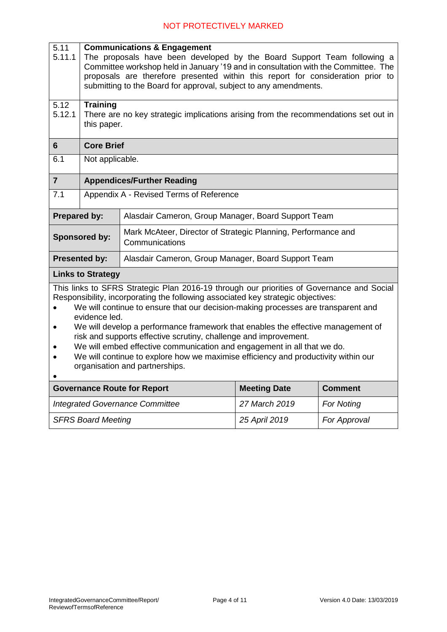| 5.11<br>5.11.1                                                                                                                                                                                                                                                                                                                                                                                                                                                                                                                                                                                                                                 | <b>Communications &amp; Engagement</b><br>The proposals have been developed by the Board Support Team following a<br>Committee workshop held in January '19 and in consultation with the Committee. The<br>proposals are therefore presented within this report for consideration prior to<br>submitting to the Board for approval, subject to any amendments. |                                                                                 |                     |                |  |  |
|------------------------------------------------------------------------------------------------------------------------------------------------------------------------------------------------------------------------------------------------------------------------------------------------------------------------------------------------------------------------------------------------------------------------------------------------------------------------------------------------------------------------------------------------------------------------------------------------------------------------------------------------|----------------------------------------------------------------------------------------------------------------------------------------------------------------------------------------------------------------------------------------------------------------------------------------------------------------------------------------------------------------|---------------------------------------------------------------------------------|---------------------|----------------|--|--|
| 5.12<br>5.12.1                                                                                                                                                                                                                                                                                                                                                                                                                                                                                                                                                                                                                                 | <b>Training</b><br>There are no key strategic implications arising from the recommendations set out in<br>this paper.                                                                                                                                                                                                                                          |                                                                                 |                     |                |  |  |
| 6                                                                                                                                                                                                                                                                                                                                                                                                                                                                                                                                                                                                                                              | <b>Core Brief</b>                                                                                                                                                                                                                                                                                                                                              |                                                                                 |                     |                |  |  |
| 6.1                                                                                                                                                                                                                                                                                                                                                                                                                                                                                                                                                                                                                                            | Not applicable.                                                                                                                                                                                                                                                                                                                                                |                                                                                 |                     |                |  |  |
| $\overline{7}$                                                                                                                                                                                                                                                                                                                                                                                                                                                                                                                                                                                                                                 | <b>Appendices/Further Reading</b>                                                                                                                                                                                                                                                                                                                              |                                                                                 |                     |                |  |  |
| 7.1                                                                                                                                                                                                                                                                                                                                                                                                                                                                                                                                                                                                                                            | Appendix A - Revised Terms of Reference                                                                                                                                                                                                                                                                                                                        |                                                                                 |                     |                |  |  |
| <b>Prepared by:</b>                                                                                                                                                                                                                                                                                                                                                                                                                                                                                                                                                                                                                            |                                                                                                                                                                                                                                                                                                                                                                | Alasdair Cameron, Group Manager, Board Support Team                             |                     |                |  |  |
| Sponsored by:                                                                                                                                                                                                                                                                                                                                                                                                                                                                                                                                                                                                                                  |                                                                                                                                                                                                                                                                                                                                                                | Mark McAteer, Director of Strategic Planning, Performance and<br>Communications |                     |                |  |  |
| <b>Presented by:</b>                                                                                                                                                                                                                                                                                                                                                                                                                                                                                                                                                                                                                           |                                                                                                                                                                                                                                                                                                                                                                | Alasdair Cameron, Group Manager, Board Support Team                             |                     |                |  |  |
|                                                                                                                                                                                                                                                                                                                                                                                                                                                                                                                                                                                                                                                | <b>Links to Strategy</b>                                                                                                                                                                                                                                                                                                                                       |                                                                                 |                     |                |  |  |
| This links to SFRS Strategic Plan 2016-19 through our priorities of Governance and Social<br>Responsibility, incorporating the following associated key strategic objectives:<br>We will continue to ensure that our decision-making processes are transparent and<br>evidence led.<br>We will develop a performance framework that enables the effective management of<br>risk and supports effective scrutiny, challenge and improvement.<br>We will embed effective communication and engagement in all that we do.<br>We will continue to explore how we maximise efficiency and productivity within our<br>organisation and partnerships. |                                                                                                                                                                                                                                                                                                                                                                |                                                                                 |                     |                |  |  |
|                                                                                                                                                                                                                                                                                                                                                                                                                                                                                                                                                                                                                                                |                                                                                                                                                                                                                                                                                                                                                                | <b>Governance Route for Report</b>                                              | <b>Meeting Date</b> | <b>Comment</b> |  |  |
| <b>Integrated Governance Committee</b>                                                                                                                                                                                                                                                                                                                                                                                                                                                                                                                                                                                                         |                                                                                                                                                                                                                                                                                                                                                                |                                                                                 | 27 March 2019       | For Noting     |  |  |
| <b>SFRS Board Meeting</b>                                                                                                                                                                                                                                                                                                                                                                                                                                                                                                                                                                                                                      |                                                                                                                                                                                                                                                                                                                                                                |                                                                                 | 25 April 2019       | For Approval   |  |  |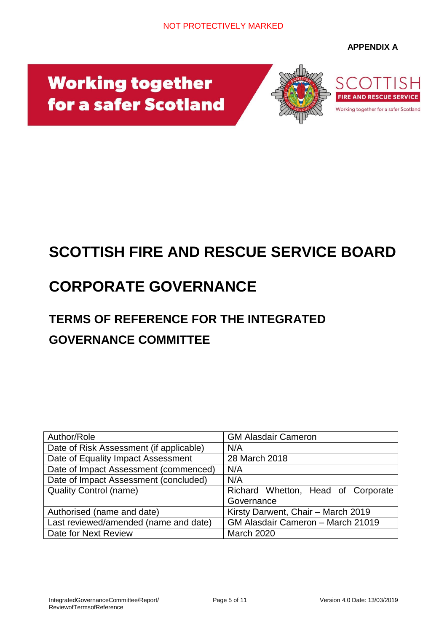#### **APPENDIX A**

# **Working together** for a safer Scotland



## **SCOTTISH FIRE AND RESCUE SERVICE BOARD**

## **CORPORATE GOVERNANCE**

### **TERMS OF REFERENCE FOR THE INTEGRATED GOVERNANCE COMMITTEE**

| Author/Role                             | <b>GM Alasdair Cameron</b>         |  |  |  |
|-----------------------------------------|------------------------------------|--|--|--|
| Date of Risk Assessment (if applicable) | N/A                                |  |  |  |
| Date of Equality Impact Assessment      | 28 March 2018                      |  |  |  |
| Date of Impact Assessment (commenced)   | N/A                                |  |  |  |
| Date of Impact Assessment (concluded)   | N/A                                |  |  |  |
| <b>Quality Control (name)</b>           | Richard Whetton, Head of Corporate |  |  |  |
|                                         | Governance                         |  |  |  |
| Authorised (name and date)              | Kirsty Darwent, Chair - March 2019 |  |  |  |
| Last reviewed/amended (name and date)   | GM Alasdair Cameron - March 21019  |  |  |  |
| Date for Next Review                    | <b>March 2020</b>                  |  |  |  |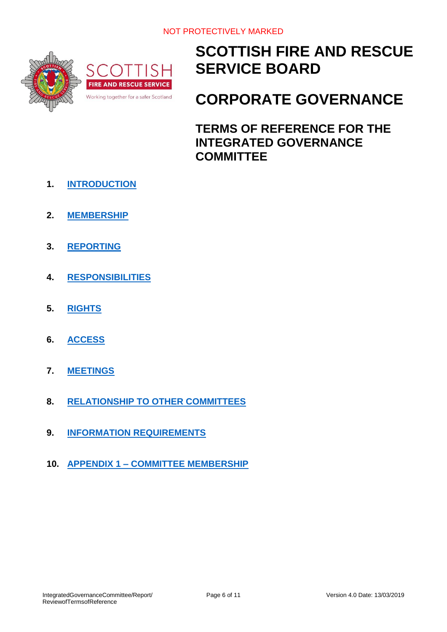

### **SCOTTISH FIRE AND RESCUE SERVICE BOARD**

### **CORPORATE GOVERNANCE**

**TERMS OF REFERENCE FOR THE INTEGRATED GOVERNANCE COMMITTEE**

- **1. [INTRODUCTION](#page-6-0)**
- **2. [MEMBERSHIP](#page-6-1)**
- **3. [REPORTING](#page-7-0)**
- **4. [RESPONSIBILITIES](#page-7-1)**
- **5. [RIGHTS](#page-8-0)**
- **6. [ACCESS](#page-8-0)**
- **7. [MEETINGS](#page-8-1)**
- **8. RELATIONSHIP TO OTHER COMMITTEES**
- **9. [INFORMATION REQUIREMENTS](#page-9-0)**
- **10. APPENDIX 1 – [COMMITTEE MEMBERSHIP](#page-9-1)**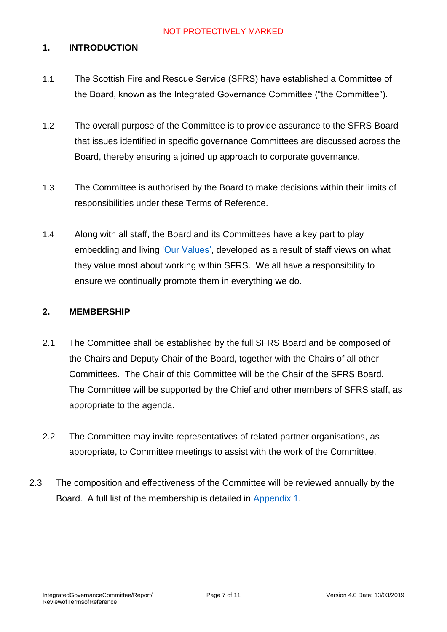#### <span id="page-6-0"></span>**1. INTRODUCTION**

- 1.1 The Scottish Fire and Rescue Service (SFRS) have established a Committee of the Board, known as the Integrated Governance Committee ("the Committee").
- 1.2 The overall purpose of the Committee is to provide assurance to the SFRS Board that issues identified in specific governance Committees are discussed across the Board, thereby ensuring a joined up approach to corporate governance.
- 1.3 The Committee is authorised by the Board to make decisions within their limits of responsibilities under these Terms of Reference.
- 1.4 Along with all staff, the Board and its Committees have a key part to play embedding and living ['Our Values',](https://www.firescotland.gov.uk/media/1225253/sfrs_values_framework.pdf) developed as a result of staff views on what they value most about working within SFRS. We all have a responsibility to ensure we continually promote them in everything we do.

#### <span id="page-6-1"></span>**2. MEMBERSHIP**

- 2.1 The Committee shall be established by the full SFRS Board and be composed of the Chairs and Deputy Chair of the Board, together with the Chairs of all other Committees. The Chair of this Committee will be the Chair of the SFRS Board. The Committee will be supported by the Chief and other members of SFRS staff, as appropriate to the agenda.
- 2.2 The Committee may invite representatives of related partner organisations, as appropriate, to Committee meetings to assist with the work of the Committee.
- 2.3 The composition and effectiveness of the Committee will be reviewed annually by the Board. A full list of the membership is detailed in Appendix 1.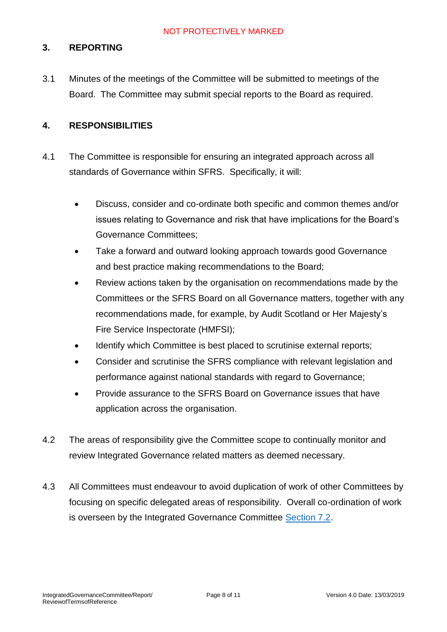#### <span id="page-7-0"></span>**3. REPORTING**

3.1 Minutes of the meetings of the Committee will be submitted to meetings of the Board. The Committee may submit special reports to the Board as required.

#### <span id="page-7-1"></span>**4. RESPONSIBILITIES**

- 4.1 The Committee is responsible for ensuring an integrated approach across all standards of Governance within SFRS. Specifically, it will:
	- Discuss, consider and co-ordinate both specific and common themes and/or issues relating to Governance and risk that have implications for the Board's Governance Committees;
	- Take a forward and outward looking approach towards good Governance and best practice making recommendations to the Board;
	- Review actions taken by the organisation on recommendations made by the Committees or the SFRS Board on all Governance matters, together with any recommendations made, for example, by Audit Scotland or Her Majesty's Fire Service Inspectorate (HMFSI);
	- Identify which Committee is best placed to scrutinise external reports;
	- Consider and scrutinise the SFRS compliance with relevant legislation and performance against national standards with regard to Governance;
	- Provide assurance to the SFRS Board on Governance issues that have application across the organisation.
- 4.2 The areas of responsibility give the Committee scope to continually monitor and review Integrated Governance related matters as deemed necessary.
- 4.3 All Committees must endeavour to avoid duplication of work of other Committees by focusing on specific delegated areas of responsibility. Overall co-ordination of work is overseen by the Integrated Governance Committee Section 7.2.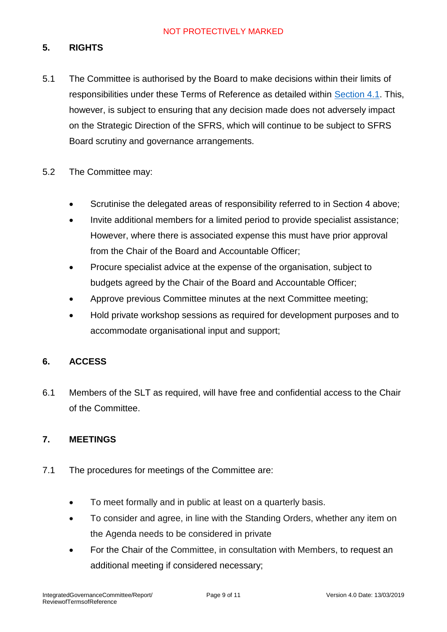#### **5. RIGHTS**

- 5.1 The Committee is authorised by the Board to make decisions within their limits of responsibilities under these Terms of Reference as detailed within [Section 4.1.](#page-7-1) This, however, is subject to ensuring that any decision made does not adversely impact on the Strategic Direction of the SFRS, which will continue to be subject to SFRS Board scrutiny and governance arrangements.
- 5.2 The Committee may:
	- Scrutinise the delegated areas of responsibility referred to in Section 4 above;
	- Invite additional members for a limited period to provide specialist assistance; However, where there is associated expense this must have prior approval from the Chair of the Board and Accountable Officer;
	- Procure specialist advice at the expense of the organisation, subject to budgets agreed by the Chair of the Board and Accountable Officer;
	- Approve previous Committee minutes at the next Committee meeting;
	- Hold private workshop sessions as required for development purposes and to accommodate organisational input and support;

#### <span id="page-8-0"></span>**6. ACCESS**

6.1 Members of the SLT as required, will have free and confidential access to the Chair of the Committee.

#### <span id="page-8-1"></span>**7. MEETINGS**

- 7.1 The procedures for meetings of the Committee are:
	- To meet formally and in public at least on a quarterly basis.
	- To consider and agree, in line with the Standing Orders, whether any item on the Agenda needs to be considered in private
	- For the Chair of the Committee, in consultation with Members, to request an additional meeting if considered necessary;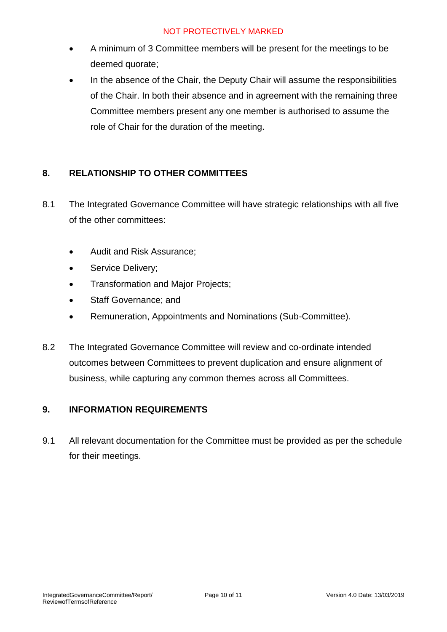- A minimum of 3 Committee members will be present for the meetings to be deemed quorate;
- In the absence of the Chair, the Deputy Chair will assume the responsibilities of the Chair. In both their absence and in agreement with the remaining three Committee members present any one member is authorised to assume the role of Chair for the duration of the meeting.

#### **8. RELATIONSHIP TO OTHER COMMITTEES**

- 8.1 The Integrated Governance Committee will have strategic relationships with all five of the other committees:
	- Audit and Risk Assurance;
	- Service Delivery;
	- Transformation and Major Projects;
	- Staff Governance; and
	- Remuneration, Appointments and Nominations (Sub-Committee).
- 8.2 The Integrated Governance Committee will review and co-ordinate intended outcomes between Committees to prevent duplication and ensure alignment of business, while capturing any common themes across all Committees.

#### <span id="page-9-0"></span>**9. INFORMATION REQUIREMENTS**

<span id="page-9-1"></span>9.1 All relevant documentation for the Committee must be provided as per the schedule for their meetings.